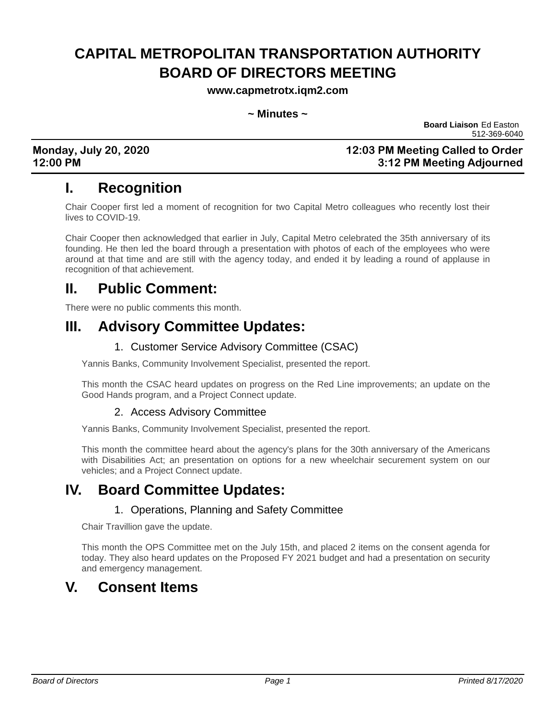# **CAPITAL METROPOLITAN TRANSPORTATION AUTHORITY BOARD OF DIRECTORS MEETING**

**www.capmetrotx.iqm2.com**

#### **~ Minutes ~**

**Board Liaison** Ed Easton 512-369-6040

### **Monday, July 20, 2020 12:03 PM Meeting Called to Order 12:00 PM 3:12 PM Meeting Adjourned**

# **I. Recognition**

Chair Cooper first led a moment of recognition for two Capital Metro colleagues who recently lost their lives to COVID-19.

Chair Cooper then acknowledged that earlier in July, Capital Metro celebrated the 35th anniversary of its founding. He then led the board through a presentation with photos of each of the employees who were around at that time and are still with the agency today, and ended it by leading a round of applause in recognition of that achievement.

# **II. Public Comment:**

There were no public comments this month.

## **III. Advisory Committee Updates:**

### 1. Customer Service Advisory Committee (CSAC)

Yannis Banks, Community Involvement Specialist, presented the report.

This month the CSAC heard updates on progress on the Red Line improvements; an update on the Good Hands program, and a Project Connect update.

#### 2. Access Advisory Committee

Yannis Banks, Community Involvement Specialist, presented the report.

This month the committee heard about the agency's plans for the 30th anniversary of the Americans with Disabilities Act; an presentation on options for a new wheelchair securement system on our vehicles; and a Project Connect update.

## **IV. Board Committee Updates:**

#### 1. Operations, Planning and Safety Committee

Chair Travillion gave the update.

This month the OPS Committee met on the July 15th, and placed 2 items on the consent agenda for today. They also heard updates on the Proposed FY 2021 budget and had a presentation on security and emergency management.

## **V. Consent Items**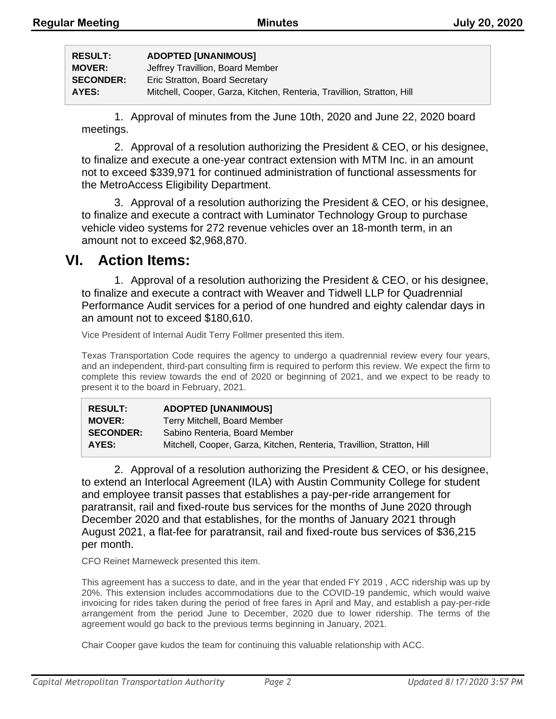| <b>RESULT:</b>   | <b>ADOPTED [UNANIMOUS]</b>                                             |
|------------------|------------------------------------------------------------------------|
| <b>MOVER:</b>    | Jeffrey Travillion, Board Member                                       |
| <b>SECONDER:</b> | Eric Stratton, Board Secretary                                         |
| AYES:            | Mitchell, Cooper, Garza, Kitchen, Renteria, Travillion, Stratton, Hill |

1. Approval of minutes from the June 10th, 2020 and June 22, 2020 board meetings.

2. Approval of a resolution authorizing the President & CEO, or his designee, to finalize and execute a one-year contract extension with MTM Inc. in an amount not to exceed \$339,971 for continued administration of functional assessments for the MetroAccess Eligibility Department.

3. Approval of a resolution authorizing the President & CEO, or his designee, to finalize and execute a contract with Luminator Technology Group to purchase vehicle video systems for 272 revenue vehicles over an 18-month term, in an amount not to exceed \$2,968,870.

## **VI. Action Items:**

1. Approval of a resolution authorizing the President & CEO, or his designee, to finalize and execute a contract with Weaver and Tidwell LLP for Quadrennial Performance Audit services for a period of one hundred and eighty calendar days in an amount not to exceed \$180,610.

Vice President of Internal Audit Terry Follmer presented this item.

Texas Transportation Code requires the agency to undergo a quadrennial review every four years, and an independent, third-part consulting firm is required to perform this review. We expect the firm to complete this review towards the end of 2020 or beginning of 2021, and we expect to be ready to present it to the board in February, 2021.

| <b>RESULT:</b>   | <b>ADOPTED [UNANIMOUS]</b>                                             |
|------------------|------------------------------------------------------------------------|
| <b>MOVER:</b>    | Terry Mitchell, Board Member                                           |
| <b>SECONDER:</b> | Sabino Renteria, Board Member                                          |
| AYES:            | Mitchell, Cooper, Garza, Kitchen, Renteria, Travillion, Stratton, Hill |

2. Approval of a resolution authorizing the President & CEO, or his designee, to extend an Interlocal Agreement (ILA) with Austin Community College for student and employee transit passes that establishes a pay-per-ride arrangement for paratransit, rail and fixed-route bus services for the months of June 2020 through December 2020 and that establishes, for the months of January 2021 through August 2021, a flat-fee for paratransit, rail and fixed-route bus services of \$36,215 per month.

CFO Reinet Marneweck presented this item.

This agreement has a success to date, and in the year that ended FY 2019 , ACC ridership was up by 20%. This extension includes accommodations due to the COVID-19 pandemic, which would waive invoicing for rides taken during the period of free fares in April and May, and establish a pay-per-ride arrangement from the period June to December, 2020 due to lower ridership. The terms of the agreement would go back to the previous terms beginning in January, 2021.

Chair Cooper gave kudos the team for continuing this valuable relationship with ACC.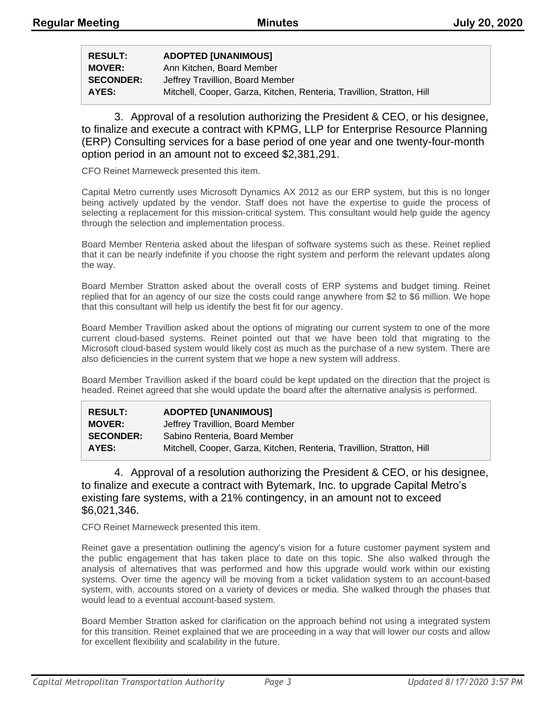| <b>RESULT:</b>   | <b>ADOPTED [UNANIMOUS]</b>                                             |
|------------------|------------------------------------------------------------------------|
| <b>MOVER:</b>    | Ann Kitchen, Board Member                                              |
| <b>SECONDER:</b> | Jeffrey Travillion, Board Member                                       |
| AYES:            | Mitchell, Cooper, Garza, Kitchen, Renteria, Travillion, Stratton, Hill |

3. Approval of a resolution authorizing the President & CEO, or his designee, to finalize and execute a contract with KPMG, LLP for Enterprise Resource Planning (ERP) Consulting services for a base period of one year and one twenty-four-month option period in an amount not to exceed \$2,381,291.

CFO Reinet Marneweck presented this item.

Capital Metro currently uses Microsoft Dynamics AX 2012 as our ERP system, but this is no longer being actively updated by the vendor. Staff does not have the expertise to guide the process of selecting a replacement for this mission-critical system. This consultant would help guide the agency through the selection and implementation process.

Board Member Renteria asked about the lifespan of software systems such as these. Reinet replied that it can be nearly indefinite if you choose the right system and perform the relevant updates along the way.

Board Member Stratton asked about the overall costs of ERP systems and budget timing. Reinet replied that for an agency of our size the costs could range anywhere from \$2 to \$6 million. We hope that this consultant will help us identify the best fit for our agency.

Board Member Travillion asked about the options of migrating our current system to one of the more current cloud-based systems. Reinet pointed out that we have been told that migrating to the Microsoft cloud-based system would likely cost as much as the purchase of a new system. There are also deficiencies in the current system that we hope a new system will address.

Board Member Travillion asked if the board could be kept updated on the direction that the project is headed. Reinet agreed that she would update the board after the alternative analysis is performed.

| <b>RESULT:</b>   | <b>ADOPTED [UNANIMOUS]</b>                                             |
|------------------|------------------------------------------------------------------------|
| <b>MOVER:</b>    | Jeffrey Travillion, Board Member                                       |
| <b>SECONDER:</b> | Sabino Renteria, Board Member                                          |
| AYES:            | Mitchell, Cooper, Garza, Kitchen, Renteria, Travillion, Stratton, Hill |

4. Approval of a resolution authorizing the President & CEO, or his designee, to finalize and execute a contract with Bytemark, Inc. to upgrade Capital Metro's existing fare systems, with a 21% contingency, in an amount not to exceed \$6,021,346.

CFO Reinet Marneweck presented this item.

Reinet gave a presentation outlining the agency's vision for a future customer payment system and the public engagement that has taken place to date on this topic. She also walked through the analysis of alternatives that was performed and how this upgrade would work within our existing systems. Over time the agency will be moving from a ticket validation system to an account-based system, with. accounts stored on a variety of devices or media. She walked through the phases that would lead to a eventual account-based system.

Board Member Stratton asked for clarification on the approach behind not using a integrated system for this transition. Reinet explained that we are proceeding in a way that will lower our costs and allow for excellent flexibility and scalability in the future.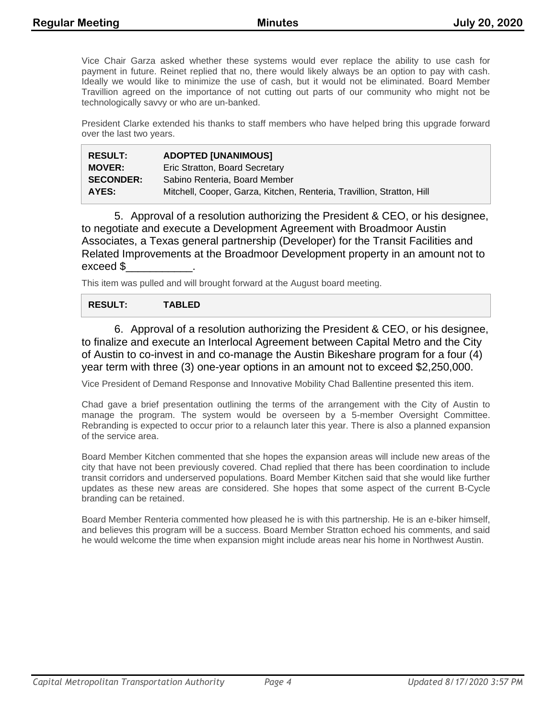Vice Chair Garza asked whether these systems would ever replace the ability to use cash for payment in future. Reinet replied that no, there would likely always be an option to pay with cash. Ideally we would like to minimize the use of cash, but it would not be eliminated. Board Member Travillion agreed on the importance of not cutting out parts of our community who might not be technologically savvy or who are un-banked.

President Clarke extended his thanks to staff members who have helped bring this upgrade forward over the last two years.

| <b>RESULT:</b>   | <b>ADOPTED [UNANIMOUS]</b>                                             |
|------------------|------------------------------------------------------------------------|
| <b>MOVER:</b>    | Eric Stratton, Board Secretary                                         |
| <b>SECONDER:</b> | Sabino Renteria. Board Member                                          |
| AYES:            | Mitchell, Cooper, Garza, Kitchen, Renteria, Travillion, Stratton, Hill |

5. Approval of a resolution authorizing the President & CEO, or his designee, to negotiate and execute a Development Agreement with Broadmoor Austin Associates, a Texas general partnership (Developer) for the Transit Facilities and Related Improvements at the Broadmoor Development property in an amount not to exceed \$\_\_\_\_\_\_\_\_\_\_\_.

This item was pulled and will brought forward at the August board meeting.

#### **RESULT: TABLED**

6. Approval of a resolution authorizing the President & CEO, or his designee, to finalize and execute an Interlocal Agreement between Capital Metro and the City of Austin to co-invest in and co-manage the Austin Bikeshare program for a four (4) year term with three (3) one-year options in an amount not to exceed \$2,250,000.

Vice President of Demand Response and Innovative Mobility Chad Ballentine presented this item.

Chad gave a brief presentation outlining the terms of the arrangement with the City of Austin to manage the program. The system would be overseen by a 5-member Oversight Committee. Rebranding is expected to occur prior to a relaunch later this year. There is also a planned expansion of the service area.

Board Member Kitchen commented that she hopes the expansion areas will include new areas of the city that have not been previously covered. Chad replied that there has been coordination to include transit corridors and underserved populations. Board Member Kitchen said that she would like further updates as these new areas are considered. She hopes that some aspect of the current B-Cycle branding can be retained.

Board Member Renteria commented how pleased he is with this partnership. He is an e-biker himself, and believes this program will be a success. Board Member Stratton echoed his comments, and said he would welcome the time when expansion might include areas near his home in Northwest Austin.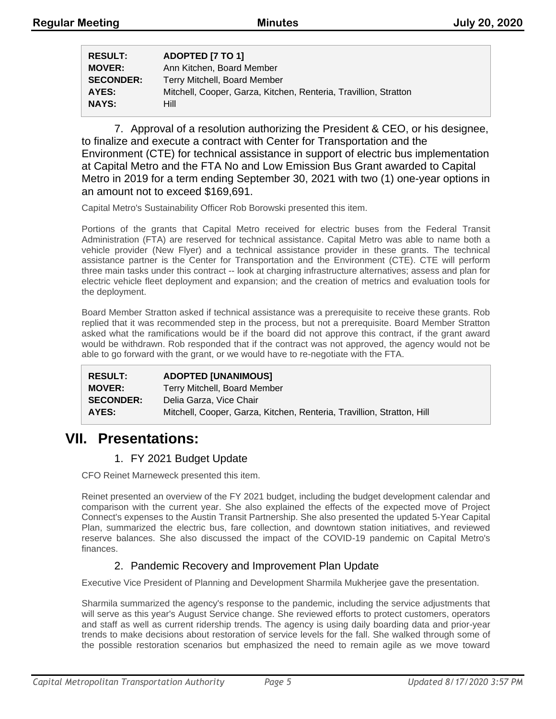| <b>RESULT:</b>   | ADOPTED [7 TO 1]                                                 |
|------------------|------------------------------------------------------------------|
| <b>MOVER:</b>    | Ann Kitchen, Board Member                                        |
| <b>SECONDER:</b> | Terry Mitchell, Board Member                                     |
| AYES:            | Mitchell, Cooper, Garza, Kitchen, Renteria, Travillion, Stratton |
| <b>NAYS:</b>     | Hill                                                             |

7. Approval of a resolution authorizing the President & CEO, or his designee, to finalize and execute a contract with Center for Transportation and the Environment (CTE) for technical assistance in support of electric bus implementation at Capital Metro and the FTA No and Low Emission Bus Grant awarded to Capital Metro in 2019 for a term ending September 30, 2021 with two (1) one-year options in an amount not to exceed \$169,691.

Capital Metro's Sustainability Officer Rob Borowski presented this item.

Portions of the grants that Capital Metro received for electric buses from the Federal Transit Administration (FTA) are reserved for technical assistance. Capital Metro was able to name both a vehicle provider (New Flyer) and a technical assistance provider in these grants. The technical assistance partner is the Center for Transportation and the Environment (CTE). CTE will perform three main tasks under this contract -- look at charging infrastructure alternatives; assess and plan for electric vehicle fleet deployment and expansion; and the creation of metrics and evaluation tools for the deployment.

Board Member Stratton asked if technical assistance was a prerequisite to receive these grants. Rob replied that it was recommended step in the process, but not a prerequisite. Board Member Stratton asked what the ramifications would be if the board did not approve this contract, if the grant award would be withdrawn. Rob responded that if the contract was not approved, the agency would not be able to go forward with the grant, or we would have to re-negotiate with the FTA.

| <b>RESULT:</b>   | <b>ADOPTED [UNANIMOUS]</b>                                             |
|------------------|------------------------------------------------------------------------|
| <b>MOVER:</b>    | Terry Mitchell, Board Member                                           |
| <b>SECONDER:</b> | Delia Garza, Vice Chair                                                |
| AYES:            | Mitchell, Cooper, Garza, Kitchen, Renteria, Travillion, Stratton, Hill |

## **VII. Presentations:**

### 1. FY 2021 Budget Update

CFO Reinet Marneweck presented this item.

Reinet presented an overview of the FY 2021 budget, including the budget development calendar and comparison with the current year. She also explained the effects of the expected move of Project Connect's expenses to the Austin Transit Partnership. She also presented the updated 5-Year Capital Plan, summarized the electric bus, fare collection, and downtown station initiatives, and reviewed reserve balances. She also discussed the impact of the COVID-19 pandemic on Capital Metro's finances.

### 2. Pandemic Recovery and Improvement Plan Update

Executive Vice President of Planning and Development Sharmila Mukherjee gave the presentation.

Sharmila summarized the agency's response to the pandemic, including the service adjustments that will serve as this year's August Service change. She reviewed efforts to protect customers, operators and staff as well as current ridership trends. The agency is using daily boarding data and prior-year trends to make decisions about restoration of service levels for the fall. She walked through some of the possible restoration scenarios but emphasized the need to remain agile as we move toward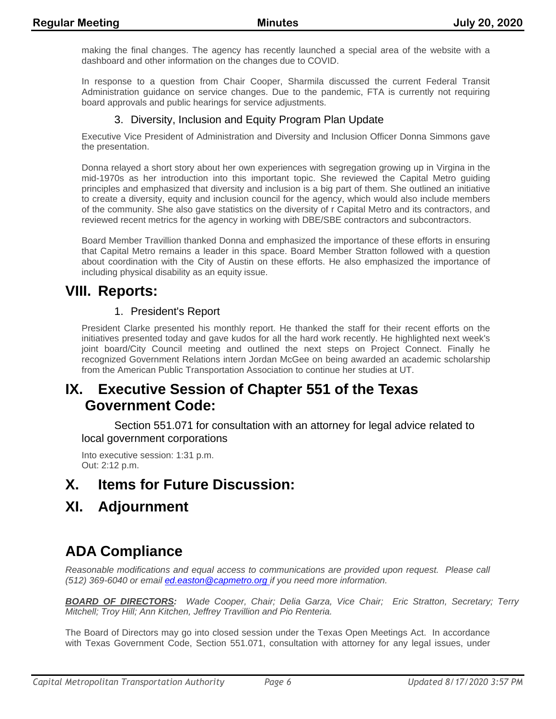making the final changes. The agency has recently launched a special area of the website with a dashboard and other information on the changes due to COVID.

In response to a question from Chair Cooper, Sharmila discussed the current Federal Transit Administration guidance on service changes. Due to the pandemic, FTA is currently not requiring board approvals and public hearings for service adjustments.

### 3. Diversity, Inclusion and Equity Program Plan Update

Executive Vice President of Administration and Diversity and Inclusion Officer Donna Simmons gave the presentation.

Donna relayed a short story about her own experiences with segregation growing up in Virgina in the mid-1970s as her introduction into this important topic. She reviewed the Capital Metro guiding principles and emphasized that diversity and inclusion is a big part of them. She outlined an initiative to create a diversity, equity and inclusion council for the agency, which would also include members of the community. She also gave statistics on the diversity of r Capital Metro and its contractors, and reviewed recent metrics for the agency in working with DBE/SBE contractors and subcontractors.

Board Member Travillion thanked Donna and emphasized the importance of these efforts in ensuring that Capital Metro remains a leader in this space. Board Member Stratton followed with a question about coordination with the City of Austin on these efforts. He also emphasized the importance of including physical disability as an equity issue.

### **VIII. Reports:**

### 1. President's Report

President Clarke presented his monthly report. He thanked the staff for their recent efforts on the initiatives presented today and gave kudos for all the hard work recently. He highlighted next week's joint board/City Council meeting and outlined the next steps on Project Connect. Finally he recognized Government Relations intern Jordan McGee on being awarded an academic scholarship from the American Public Transportation Association to continue her studies at UT.

# **IX. Executive Session of Chapter 551 of the Texas Government Code:**

Section 551.071 for consultation with an attorney for legal advice related to local government corporations

Into executive session: 1:31 p.m. Out: 2:12 p.m.

# **X. Items for Future Discussion:**

## **XI. Adjournment**

# **ADA Compliance**

*Reasonable modifications and equal access to communications are provided upon request. Please call (512) 369-6040 or email ed.easton@capmetro.org if you need more information.*

*BOARD OF DIRECTORS: Wade Cooper, Chair; Delia Garza, Vice Chair; Eric Stratton, Secretary; Terry Mitchell; Troy Hill; Ann Kitchen, Jeffrey Travillion and Pio Renteria.* 

The Board of Directors may go into closed session under the Texas Open Meetings Act. In accordance with Texas Government Code, Section 551.071, consultation with attorney for any legal issues, under